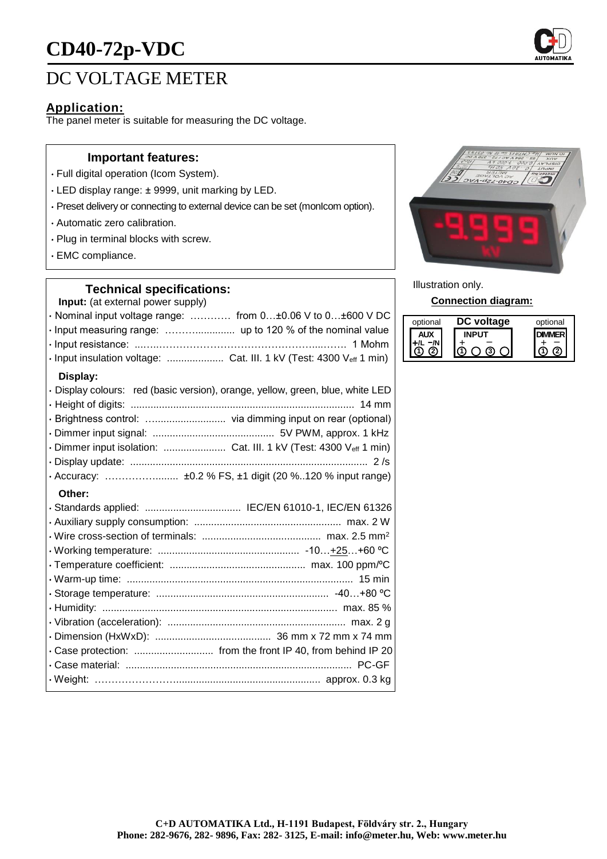# **CD40-72p-VDC**

# DC VOLTAGE METER

## **Application:**

The panel meter is suitable for measuring the DC voltage.

#### **Important features:**

- Full digital operation (Icom System).
- LED display range: ± 9999, unit marking by LED.
- Preset delivery or connecting to external device can be set (monIcom option).
- Automatic zero calibration.
- Plug in terminal blocks with screw.
- EMC compliance.

#### **Technical specifications:**

**Input:** (at external power supply)

| $\cdot$ Nominal input voltage range:  from 0 $\pm$ 0.06 V to 0 $\pm$ 600 V DC |  |
|-------------------------------------------------------------------------------|--|
|                                                                               |  |
|                                                                               |  |
|                                                                               |  |

#### **Display:**

| · Display colours: red (basic version), orange, yellow, green, blue, white LED |
|--------------------------------------------------------------------------------|
|                                                                                |
|                                                                                |
|                                                                                |
| · Dimmer input isolation:  Cat. III. 1 kV (Test: 4300 Veff 1 min)              |
|                                                                                |
|                                                                                |

#### **Other:**

| · Standards applied:  IEC/EN 61010-1, IEC/EN 61326          |
|-------------------------------------------------------------|
|                                                             |
|                                                             |
|                                                             |
|                                                             |
|                                                             |
|                                                             |
|                                                             |
|                                                             |
|                                                             |
| · Case protection:  from the front IP 40, from behind IP 20 |
|                                                             |
|                                                             |
|                                                             |



Illustration only.

**Connection diagram:**

| optional | voltage | optional |
|----------|---------|----------|
|          |         |          |
|          |         |          |